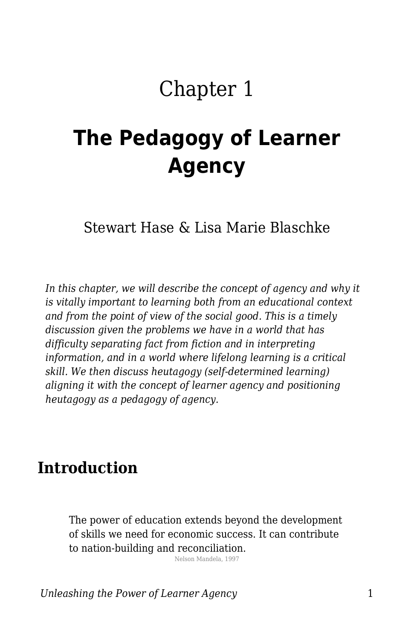# Chapter 1

# **The Pedagogy of Learner Agency**

Stewart Hase & Lisa Marie Blaschke

*In this chapter, we will describe the concept of agency and why it is vitally important to learning both from an educational context and from the point of view of the social good. This is a timely discussion given the problems we have in a world that has difficulty separating fact from fiction and in interpreting information, and in a world where lifelong learning is a critical skill. We then discuss heutagogy (self-determined learning) aligning it with the concept of learner agency and positioning heutagogy as a pedagogy of agency.* 

### **Introduction**

The power of education extends beyond the development of skills we need for economic success. It can contribute to nation-building and reconciliation.

Nelson Mandela, 1997

*Unleashing the Power of Learner Agency* 1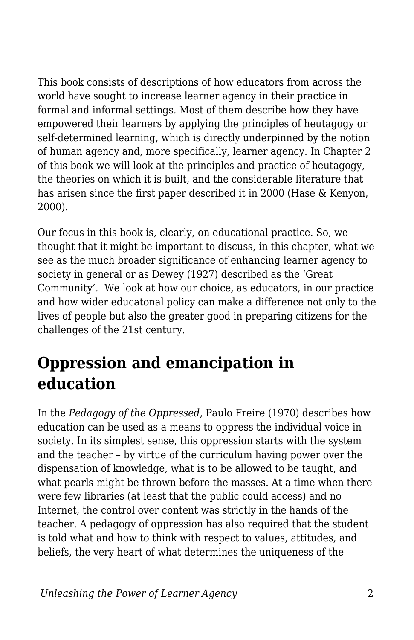This book consists of descriptions of how educators from across the world have sought to increase learner agency in their practice in formal and informal settings. Most of them describe how they have empowered their learners by applying the principles of heutagogy or self-determined learning, which is directly underpinned by the notion of human agency and, more specifically, learner agency. In Chapter 2 of this book we will look at the principles and practice of heutagogy, the theories on which it is built, and the considerable literature that has arisen since the first paper described it in 2000 (Hase & Kenyon, 2000).

Our focus in this book is, clearly, on educational practice. So, we thought that it might be important to discuss, in this chapter, what we see as the much broader significance of enhancing learner agency to society in general or as Dewey (1927) described as the 'Great Community'. We look at how our choice, as educators, in our practice and how wider educatonal policy can make a difference not only to the lives of people but also the greater good in preparing citizens for the challenges of the 21st century.

### **Oppression and emancipation in education**

In the *Pedagogy of the Oppressed*, Paulo Freire (1970) describes how education can be used as a means to oppress the individual voice in society. In its simplest sense, this oppression starts with the system and the teacher – by virtue of the curriculum having power over the dispensation of knowledge, what is to be allowed to be taught, and what pearls might be thrown before the masses. At a time when there were few libraries (at least that the public could access) and no Internet, the control over content was strictly in the hands of the teacher. A pedagogy of oppression has also required that the student is told what and how to think with respect to values, attitudes, and beliefs, the very heart of what determines the uniqueness of the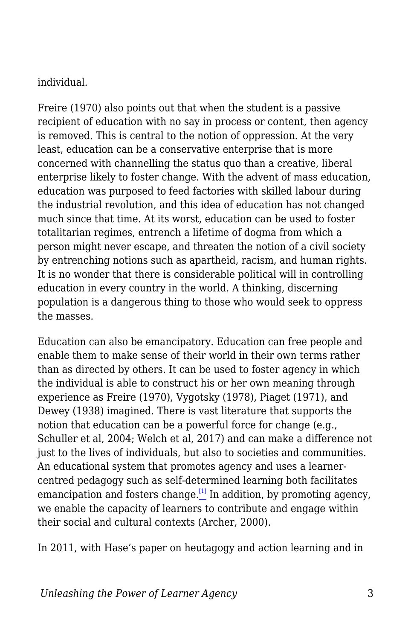#### individual.

Freire (1970) also points out that when the student is a passive recipient of education with no say in process or content, then agency is removed. This is central to the notion of oppression. At the very least, education can be a conservative enterprise that is more concerned with channelling the status quo than a creative, liberal enterprise likely to foster change. With the advent of mass education, education was purposed to feed factories with skilled labour during the industrial revolution, and this idea of education has not changed much since that time. At its worst, education can be used to foster totalitarian regimes, entrench a lifetime of dogma from which a person might never escape, and threaten the notion of a civil society by entrenching notions such as apartheid, racism, and human rights. It is no wonder that there is considerable political will in controlling education in every country in the world. A thinking, discerning population is a dangerous thing to those who would seek to oppress the masses.

Education can also be emancipatory. Education can free people and enable them to make sense of their world in their own terms rather than as directed by others. It can be used to foster agency in which the individual is able to construct his or her own meaning through experience as Freire (1970), Vygotsky (1978), Piaget (1971), and Dewey (1938) imagined. There is vast literature that supports the notion that education can be a powerful force for change (e.g., Schuller et al, 2004; Welch et al, 2017) and can make a difference not just to the lives of individuals, but also to societies and communities. An educational system that promotes agency and uses a learnercentred pedagogy such as self-determined learning both facilitates emancipation and fosters change.<sup>[\[1\]](#page-14-0)</sup> In addition, by promoting agency, we enable the capacity of learners to contribute and engage within their social and cultural contexts (Archer, 2000).

<span id="page-2-0"></span>In 2011, with Hase's paper on heutagogy and action learning and in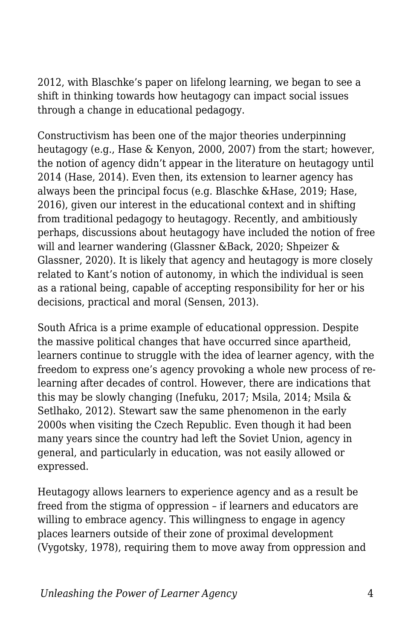2012, with Blaschke's paper on lifelong learning, we began to see a shift in thinking towards how heutagogy can impact social issues through a change in educational pedagogy.

Constructivism has been one of the major theories underpinning heutagogy (e.g., Hase & Kenyon, 2000, 2007) from the start; however, the notion of agency didn't appear in the literature on heutagogy until 2014 (Hase, 2014). Even then, its extension to learner agency has always been the principal focus (e.g. Blaschke &Hase, 2019; Hase, 2016), given our interest in the educational context and in shifting from traditional pedagogy to heutagogy. Recently, and ambitiously perhaps, discussions about heutagogy have included the notion of free will and learner wandering (Glassner &Back, 2020; Shpeizer & Glassner, 2020). It is likely that agency and heutagogy is more closely related to Kant's notion of autonomy, in which the individual is seen as a rational being, capable of accepting responsibility for her or his decisions, practical and moral (Sensen, 2013).

South Africa is a prime example of educational oppression. Despite the massive political changes that have occurred since apartheid, learners continue to struggle with the idea of learner agency, with the freedom to express one's agency provoking a whole new process of relearning after decades of control. However, there are indications that this may be slowly changing (Inefuku, 2017; Msila, 2014; Msila & Setlhako, 2012). Stewart saw the same phenomenon in the early 2000s when visiting the Czech Republic. Even though it had been many years since the country had left the Soviet Union, agency in general, and particularly in education, was not easily allowed or expressed.

Heutagogy allows learners to experience agency and as a result be freed from the stigma of oppression – if learners and educators are willing to embrace agency. This willingness to engage in agency places learners outside of their zone of proximal development (Vygotsky, 1978), requiring them to move away from oppression and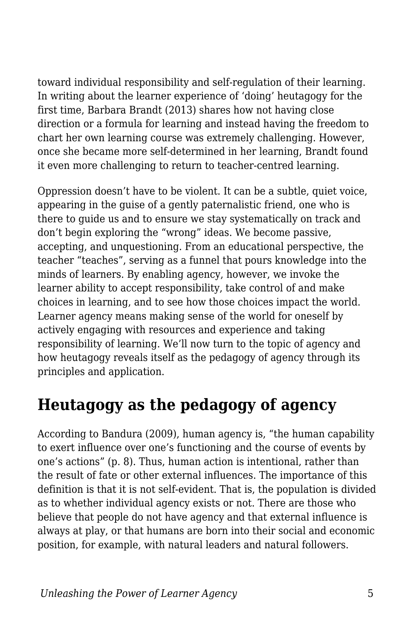toward individual responsibility and self-regulation of their learning. In writing about the learner experience of 'doing' heutagogy for the first time, Barbara Brandt (2013) shares how not having close direction or a formula for learning and instead having the freedom to chart her own learning course was extremely challenging. However, once she became more self-determined in her learning, Brandt found it even more challenging to return to teacher-centred learning.

Oppression doesn't have to be violent. It can be a subtle, quiet voice, appearing in the guise of a gently paternalistic friend, one who is there to guide us and to ensure we stay systematically on track and don't begin exploring the "wrong" ideas. We become passive, accepting, and unquestioning. From an educational perspective, the teacher "teaches", serving as a funnel that pours knowledge into the minds of learners. By enabling agency, however, we invoke the learner ability to accept responsibility, take control of and make choices in learning, and to see how those choices impact the world. Learner agency means making sense of the world for oneself by actively engaging with resources and experience and taking responsibility of learning. We'll now turn to the topic of agency and how heutagogy reveals itself as the pedagogy of agency through its principles and application.

### **Heutagogy as the pedagogy of agency**

According to Bandura (2009), human agency is, "the human capability to exert influence over one's functioning and the course of events by one's actions" (p. 8). Thus, human action is intentional, rather than the result of fate or other external influences. The importance of this definition is that it is not self-evident. That is, the population is divided as to whether individual agency exists or not. There are those who believe that people do not have agency and that external influence is always at play, or that humans are born into their social and economic position, for example, with natural leaders and natural followers.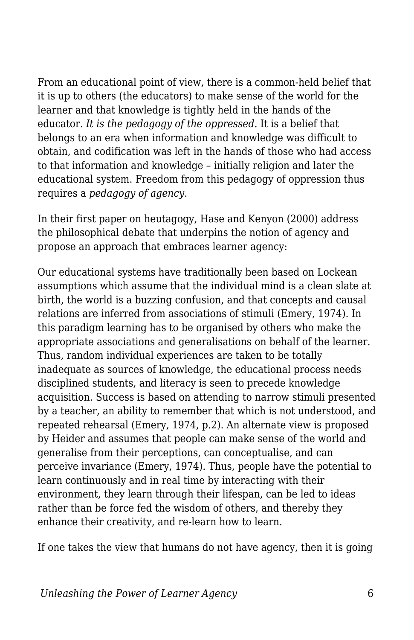From an educational point of view, there is a common-held belief that it is up to others (the educators) to make sense of the world for the learner and that knowledge is tightly held in the hands of the educator. *It is the pedagogy of the oppressed.* It is a belief that belongs to an era when information and knowledge was difficult to obtain, and codification was left in the hands of those who had access to that information and knowledge – initially religion and later the educational system. Freedom from this pedagogy of oppression thus requires a *pedagogy of agency*.

In their first paper on heutagogy, Hase and Kenyon (2000) address the philosophical debate that underpins the notion of agency and propose an approach that embraces learner agency:

Our educational systems have traditionally been based on Lockean assumptions which assume that the individual mind is a clean slate at birth, the world is a buzzing confusion, and that concepts and causal relations are inferred from associations of stimuli (Emery, 1974). In this paradigm learning has to be organised by others who make the appropriate associations and generalisations on behalf of the learner. Thus, random individual experiences are taken to be totally inadequate as sources of knowledge, the educational process needs disciplined students, and literacy is seen to precede knowledge acquisition. Success is based on attending to narrow stimuli presented by a teacher, an ability to remember that which is not understood, and repeated rehearsal (Emery, 1974, p.2). An alternate view is proposed by Heider and assumes that people can make sense of the world and generalise from their perceptions, can conceptualise, and can perceive invariance (Emery, 1974). Thus, people have the potential to learn continuously and in real time by interacting with their environment, they learn through their lifespan, can be led to ideas rather than be force fed the wisdom of others, and thereby they enhance their creativity, and re-learn how to learn.

If one takes the view that humans do not have agency, then it is going

*Unleashing the Power of Learner Agency* 6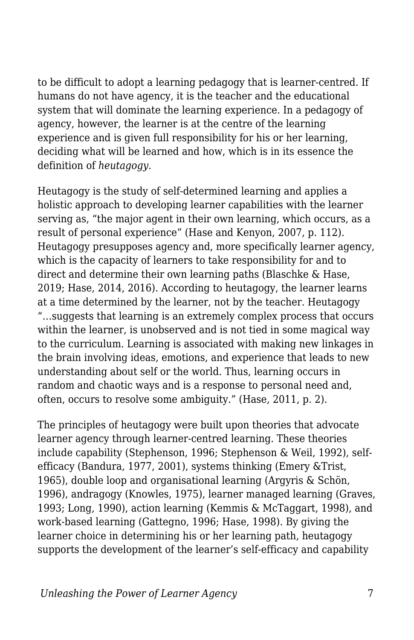to be difficult to adopt a learning pedagogy that is learner-centred. If humans do not have agency, it is the teacher and the educational system that will dominate the learning experience. In a pedagogy of agency, however, the learner is at the centre of the learning experience and is given full responsibility for his or her learning, deciding what will be learned and how, which is in its essence the definition of *heutagogy*.

Heutagogy is the study of self-determined learning and applies a holistic approach to developing learner capabilities with the learner serving as, "the major agent in their own learning, which occurs, as a result of personal experience" (Hase and Kenyon, 2007, p. 112). Heutagogy presupposes agency and, more specifically learner agency, which is the capacity of learners to take responsibility for and to direct and determine their own learning paths (Blaschke & Hase, 2019; Hase, 2014, 2016). According to heutagogy, the learner learns at a time determined by the learner, not by the teacher. Heutagogy "…suggests that learning is an extremely complex process that occurs within the learner, is unobserved and is not tied in some magical way to the curriculum. Learning is associated with making new linkages in the brain involving ideas, emotions, and experience that leads to new understanding about self or the world. Thus, learning occurs in random and chaotic ways and is a response to personal need and, often, occurs to resolve some ambiguity." (Hase, 2011, p. 2).

The principles of heutagogy were built upon theories that advocate learner agency through learner-centred learning. These theories include capability (Stephenson, 1996; Stephenson & Weil, 1992), selfefficacy (Bandura, 1977, 2001), systems thinking (Emery &Trist, 1965), double loop and organisational learning (Argyris & Schön, 1996), andragogy (Knowles, 1975), learner managed learning (Graves, 1993; Long, 1990), action learning (Kemmis & McTaggart, 1998), and work-based learning (Gattegno, 1996; Hase, 1998). By giving the learner choice in determining his or her learning path, heutagogy supports the development of the learner's self-efficacy and capability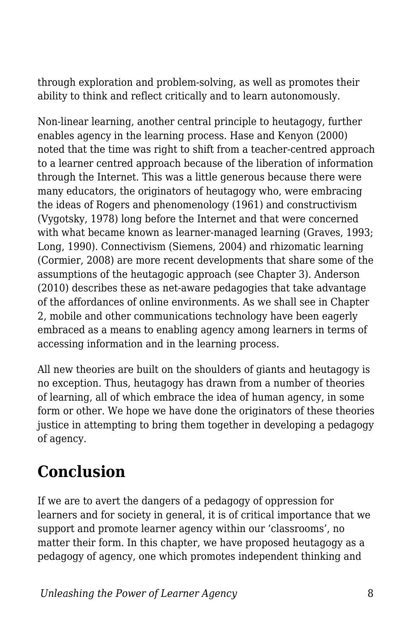through exploration and problem-solving, as well as promotes their ability to think and reflect critically and to learn autonomously.

Non-linear learning, another central principle to heutagogy, further enables agency in the learning process. Hase and Kenyon (2000) noted that the time was right to shift from a teacher-centred approach to a learner centred approach because of the liberation of information through the Internet. This was a little generous because there were many educators, the originators of heutagogy who, were embracing the ideas of Rogers and phenomenology (1961) and constructivism (Vygotsky, 1978) long before the Internet and that were concerned with what became known as learner-managed learning (Graves, 1993; Long, 1990). Connectivism (Siemens, 2004) and rhizomatic learning (Cormier, 2008) are more recent developments that share some of the assumptions of the heutagogic approach (see Chapter 3). Anderson (2010) describes these as net-aware pedagogies that take advantage of the affordances of online environments. As we shall see in Chapter 2, mobile and other communications technology have been eagerly embraced as a means to enabling agency among learners in terms of accessing information and in the learning process.

All new theories are built on the shoulders of giants and heutagogy is no exception. Thus, heutagogy has drawn from a number of theories of learning, all of which embrace the idea of human agency, in some form or other. We hope we have done the originators of these theories justice in attempting to bring them together in developing a pedagogy of agency.

## **Conclusion**

If we are to avert the dangers of a pedagogy of oppression for learners and for society in general, it is of critical importance that we support and promote learner agency within our 'classrooms', no matter their form. In this chapter, we have proposed heutagogy as a pedagogy of agency, one which promotes independent thinking and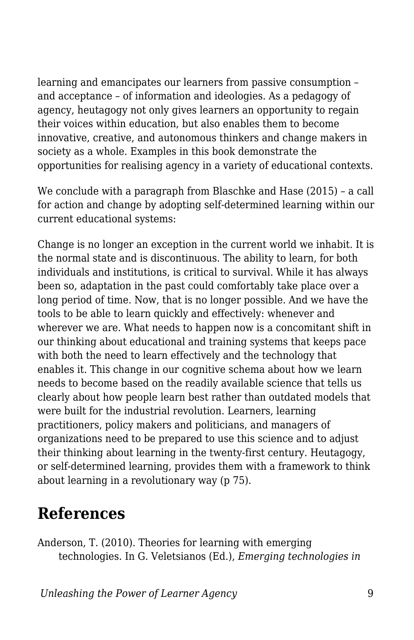learning and emancipates our learners from passive consumption – and acceptance – of information and ideologies. As a pedagogy of agency, heutagogy not only gives learners an opportunity to regain their voices within education, but also enables them to become innovative, creative, and autonomous thinkers and change makers in society as a whole. Examples in this book demonstrate the opportunities for realising agency in a variety of educational contexts.

We conclude with a paragraph from Blaschke and Hase (2015) – a call for action and change by adopting self-determined learning within our current educational systems:

Change is no longer an exception in the current world we inhabit. It is the normal state and is discontinuous. The ability to learn, for both individuals and institutions, is critical to survival. While it has always been so, adaptation in the past could comfortably take place over a long period of time. Now, that is no longer possible. And we have the tools to be able to learn quickly and effectively: whenever and wherever we are. What needs to happen now is a concomitant shift in our thinking about educational and training systems that keeps pace with both the need to learn effectively and the technology that enables it. This change in our cognitive schema about how we learn needs to become based on the readily available science that tells us clearly about how people learn best rather than outdated models that were built for the industrial revolution. Learners, learning practitioners, policy makers and politicians, and managers of organizations need to be prepared to use this science and to adjust their thinking about learning in the twenty-first century. Heutagogy, or self-determined learning, provides them with a framework to think about learning in a revolutionary way (p 75).

### **References**

Anderson, T. (2010). Theories for learning with emerging technologies. In G. Veletsianos (Ed.), *Emerging technologies in*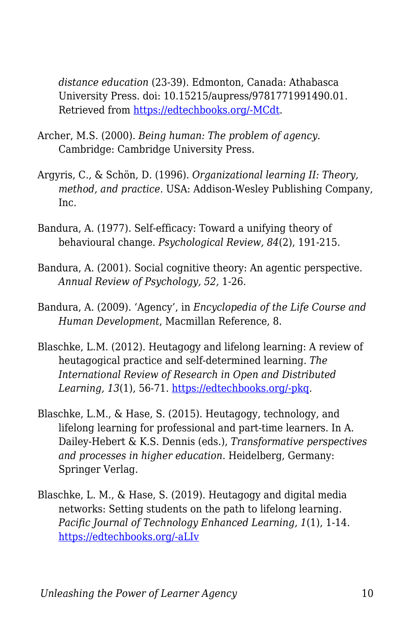*distance education* (23-39). Edmonton, Canada: Athabasca University Press. doi: 10.15215/aupress/9781771991490.01. Retrieved from [https://edtechbooks.org/-MCdt.](http://www.aupress.ca/index.php/books/120177)

- Archer, M.S. (2000). *Being human: The problem of agency*. Cambridge: Cambridge University Press.
- Argyris, C., & Schön, D. (1996). *Organizational learning II: Theory, method, and practice*. USA: Addison-Wesley Publishing Company, Inc.
- Bandura, A. (1977). Self-efficacy: Toward a unifying theory of behavioural change. *Psychological Review, 84*(2), 191-215.
- Bandura, A. (2001). Social cognitive theory: An agentic perspective. *Annual Review of Psychology, 52,* 1-26.
- Bandura, A. (2009). 'Agency', in *Encyclopedia of the Life Course and Human Development*, Macmillan Reference, 8.
- Blaschke, L.M. (2012). Heutagogy and lifelong learning: A review of heutagogical practice and self-determined learning. *The International Review of Research in Open and Distributed Learning, 13*(1), 56-71. [https://edtechbooks.org/-pkq.](http://www.irrodl.org/index.php/irrodl/article/view/1076/2087)
- Blaschke, L.M., & Hase, S. (2015). Heutagogy, technology, and lifelong learning for professional and part-time learners. In A. Dailey-Hebert & K.S. Dennis (eds.), *Transformative perspectives and processes in higher education*. Heidelberg, Germany: Springer Verlag.
- Blaschke, L. M., & Hase, S. (2019). Heutagogy and digital media networks: Setting students on the path to lifelong learning. *Pacific Journal of Technology Enhanced Learning, 1*(1), 1-14. [https://edtechbooks.org/-aLIv](https://doi.org/https:/doi.org/10.24135/pjtel.v1i1.1)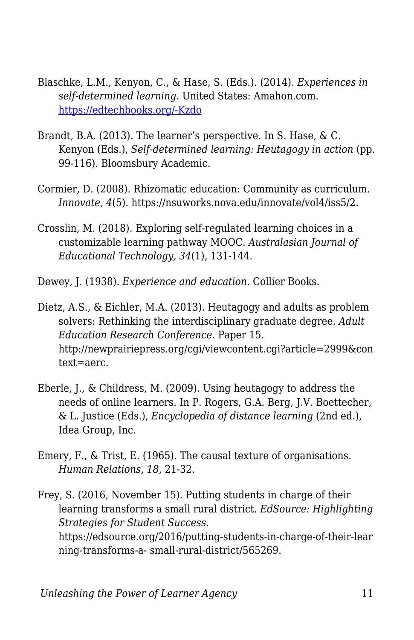- Blaschke, L.M., Kenyon, C., & Hase, S. (Eds.). (2014). *Experiences in self-determined learning*. United States: Amahon.com. [https://edtechbooks.org/-Kzdo](https://uol.de/coer/announcements/free-oer-now-available-experiences-in-self-determined-learning/)
- Brandt, B.A. (2013). The learner's perspective. In S. Hase, & C. Kenyon (Eds.), *Self-determined learning: Heutagogy in action* (pp. 99-116). Bloomsbury Academic.
- Cormier, D. (2008). Rhizomatic education: Community as curriculum. *Innovate, 4*(5). https://nsuworks.nova.edu/innovate/vol4/iss5/2.
- Crosslin, M. (2018). Exploring self-regulated learning choices in a customizable learning pathway MOOC. *Australasian Journal of Educational Technology, 34*(1), 131-144.

Dewey, J. (1938). *Experience and education*. Collier Books.

Dietz, A.S., & Eichler, M.A. (2013). Heutagogy and adults as problem solvers: Rethinking the interdisciplinary graduate degree. *Adult Education Research Conference*. Paper 15. http://newprairiepress.org/cgi/viewcontent.cgi?article=2999&con text=aerc.

- Eberle, J., & Childress, M. (2009). Using heutagogy to address the needs of online learners. In P. Rogers, G.A. Berg, J.V. Boettecher, & L. Justice (Eds.), *Encyclopedia of distance learning* (2nd ed.), Idea Group, Inc.
- Emery, F., & Trist, E. (1965). The causal texture of organisations. *Human Relations*, *18*, 21-32.
- Frey, S. (2016, November 15). Putting students in charge of their learning transforms a small rural district. *EdSource: Highlighting Strategies for Student Success*. https://edsource.org/2016/putting-students-in-charge-of-their-lear ning-transforms-a- small-rural-district/565269.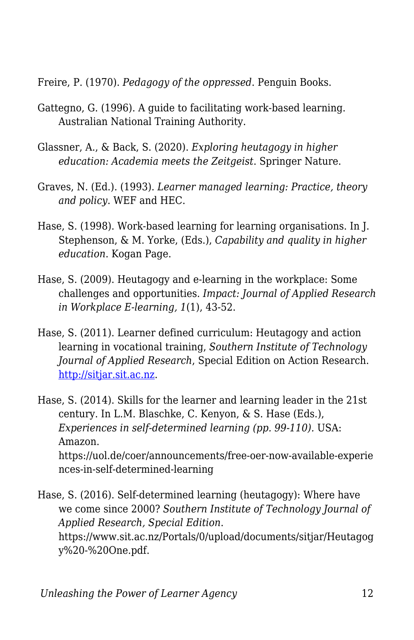Freire, P. (1970). *Pedagogy of the oppressed*. Penguin Books.

- Gattegno, G. (1996). A guide to facilitating work-based learning. Australian National Training Authority.
- Glassner, A., & Back, S. (2020). *Exploring heutagogy in higher education: Academia meets the Zeitgeist*. Springer Nature.
- Graves, N. (Ed.). (1993). *Learner managed learning: Practice, theory and policy*. WEF and HEC.
- Hase, S. (1998). Work-based learning for learning organisations. In J. Stephenson, & M. Yorke, (Eds.), *Capability and quality in higher education*. Kogan Page.
- Hase, S. (2009). Heutagogy and e-learning in the workplace: Some challenges and opportunities. *Impact: Journal of Applied Research in Workplace E-learning, 1*(1), 43-52.
- Hase, S. (2011). Learner defined curriculum: Heutagogy and action learning in vocational training, *Southern Institute of Technology Journal of Applied Research*, Special Edition on Action Research. <http://sitjar.sit.ac.nz>.

Hase, S. (2014). Skills for the learner and learning leader in the 21st century. In L.M. Blaschke, C. Kenyon, & S. Hase (Eds.), *Experiences in self-determined learning (pp. 99-110).* USA: Amazon. https://uol.de/coer/announcements/free-oer-now-available-experie nces-in-self-determined-learning

Hase, S. (2016). Self-determined learning (heutagogy): Where have we come since 2000? *Southern Institute of Technology Journal of Applied Research, Special Edition*. https://www.sit.ac.nz/Portals/0/upload/documents/sitjar/Heutagog y%20-%20One.pdf.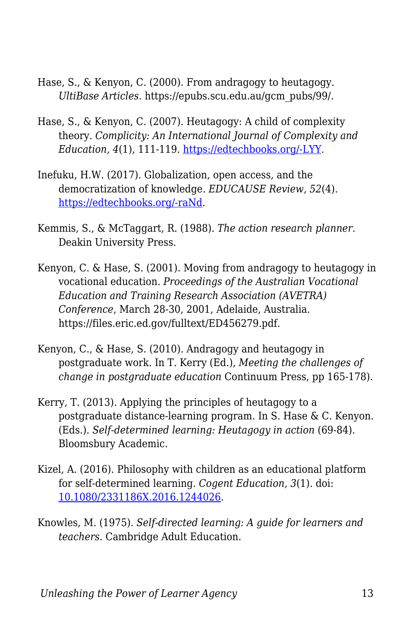- Hase, S., & Kenyon, C. (2000). From andragogy to heutagogy. *UltiBase Articles*. https://epubs.scu.edu.au/gcm\_pubs/99/.
- Hase, S., & Kenyon, C. (2007). Heutagogy: A child of complexity theory. *Complicity: An International Journal of Complexity and Education, 4*(1), 111-119. [https://edtechbooks.org/-LYY](https://journals.library.ualberta.ca/complicity/index.php/complicity/article/view/8766/7086).
- Inefuku, H.W. (2017). Globalization, open access, and the democratization of knowledge. *EDUCAUSE Review, 52*(4). [https://edtechbooks.org/-raNd.](https://er.educause.edu/articles/2017/7/globalization-open-access-and-the-democratization-of-knowledge)
- Kemmis, S., & McTaggart, R. (1988). *The action research planner*. Deakin University Press.
- Kenyon, C. & Hase, S. (2001). Moving from andragogy to heutagogy in vocational education. *Proceedings of the Australian Vocational Education and Training Research Association (AVETRA) Conference*, March 28-30, 2001, Adelaide, Australia. https://files.eric.ed.gov/fulltext/ED456279.pdf.
- Kenyon, C., & Hase, S. (2010). Andragogy and heutagogy in postgraduate work. In T. Kerry (Ed.), *Meeting the challenges of change in postgraduate education* Continuum Press, pp 165-178).
- Kerry, T. (2013). Applying the principles of heutagogy to a postgraduate distance-learning program. In S. Hase & C. Kenyon. (Eds.). *Self-determined learning: Heutagogy in action* (69-84). Bloomsbury Academic.
- Kizel, A. (2016). Philosophy with children as an educational platform for self-determined learning. *Cogent Education, 3*(1). doi: [10.1080/2331186X.2016.1244026](https://doi.org/10.1080/2331186X.2016.1244026).
- Knowles, M. (1975). *Self-directed learning: A guide for learners and teachers*. Cambridge Adult Education.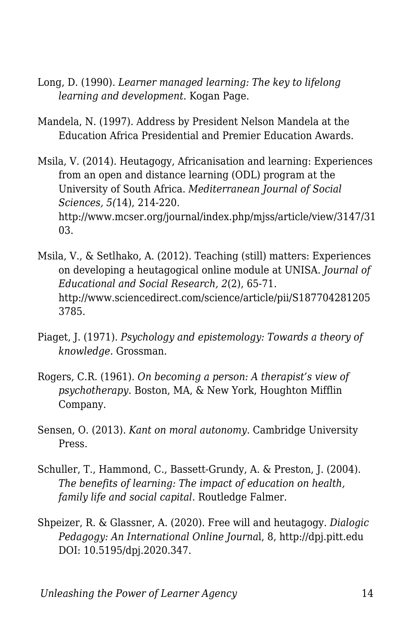- Long, D. (1990). *Learner managed learning: The key to lifelong learning and development*. Kogan Page.
- Mandela, N. (1997). Address by President Nelson Mandela at the Education Africa Presidential and Premier Education Awards.
- Msila, V. (2014). Heutagogy, Africanisation and learning: Experiences from an open and distance learning (ODL) program at the University of South Africa. *Mediterranean Journal of Social Sciences, 5(*14), 214-220. http://www.mcser.org/journal/index.php/mjss/article/view/3147/31 03.
- Msila, V., & Setlhako, A. (2012). Teaching (still) matters: Experiences on developing a heutagogical online module at UNISA. *Journal of Educational and Social Research, 2*(2), 65-71. http://www.sciencedirect.com/science/article/pii/S187704281205 3785.
- Piaget, J. (1971). *Psychology and epistemology: Towards a theory of knowledge.* Grossman.
- Rogers, C.R. (1961). *On becoming a person: A therapist's view of psychotherapy*. Boston, MA, & New York, Houghton Mifflin Company.
- Sensen, O. (2013). *Kant on moral autonomy*. Cambridge University Press.
- Schuller, T., Hammond, C., Bassett-Grundy, A. & Preston, J. (2004). *The benefits of learning: The impact of education on health, family life and social capital*. Routledge Falmer.
- Shpeizer, R. & Glassner, A. (2020). Free will and heutagogy. *Dialogic Pedagogy: An International Online Journa*l, 8, http://dpj.pitt.edu DOI: 10.5195/dpj.2020.347.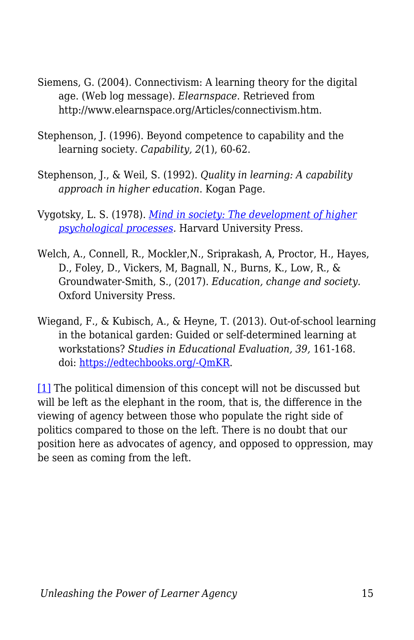- Siemens, G. (2004). Connectivism: A learning theory for the digital age. (Web log message). *Elearnspace*. Retrieved from http://www.elearnspace.org/Articles/connectivism.htm.
- Stephenson, J. (1996). Beyond competence to capability and the learning society. *Capability, 2*(1), 60-62.
- Stephenson, J., & Weil, S. (1992). *Quality in learning: A capability approach in higher education*. Kogan Page.
- Vygotsky, L. S. (1978). *[Mind in society: The development of higher](http://ouleft.org/wp-content/uploads/Vygotsky-Mind-in-Society.pdf) [psychological processes.](http://ouleft.org/wp-content/uploads/Vygotsky-Mind-in-Society.pdf)* Harvard University Press.
- Welch, A., Connell, R., Mockler,N., Sriprakash, A, Proctor, H., Hayes, D., Foley, D., Vickers, M, Bagnall, N., Burns, K., Low, R., & Groundwater-Smith, S., (2017). *Education, change and society.* Oxford University Press.
- Wiegand, F., & Kubisch, A., & Heyne, T. (2013). Out-of-school learning in the botanical garden: Guided or self-determined learning at workstations? *Studies in Educational Evaluation, 39,* 161-168. doi: [https://edtechbooks.org/-QmKR.](http://dx.doi.org/10.1016/j.stueduc.2013.06.001)

<span id="page-14-0"></span>[\[1\]](#page-2-0) The political dimension of this concept will not be discussed but will be left as the elephant in the room, that is, the difference in the viewing of agency between those who populate the right side of politics compared to those on the left. There is no doubt that our position here as advocates of agency, and opposed to oppression, may be seen as coming from the left.